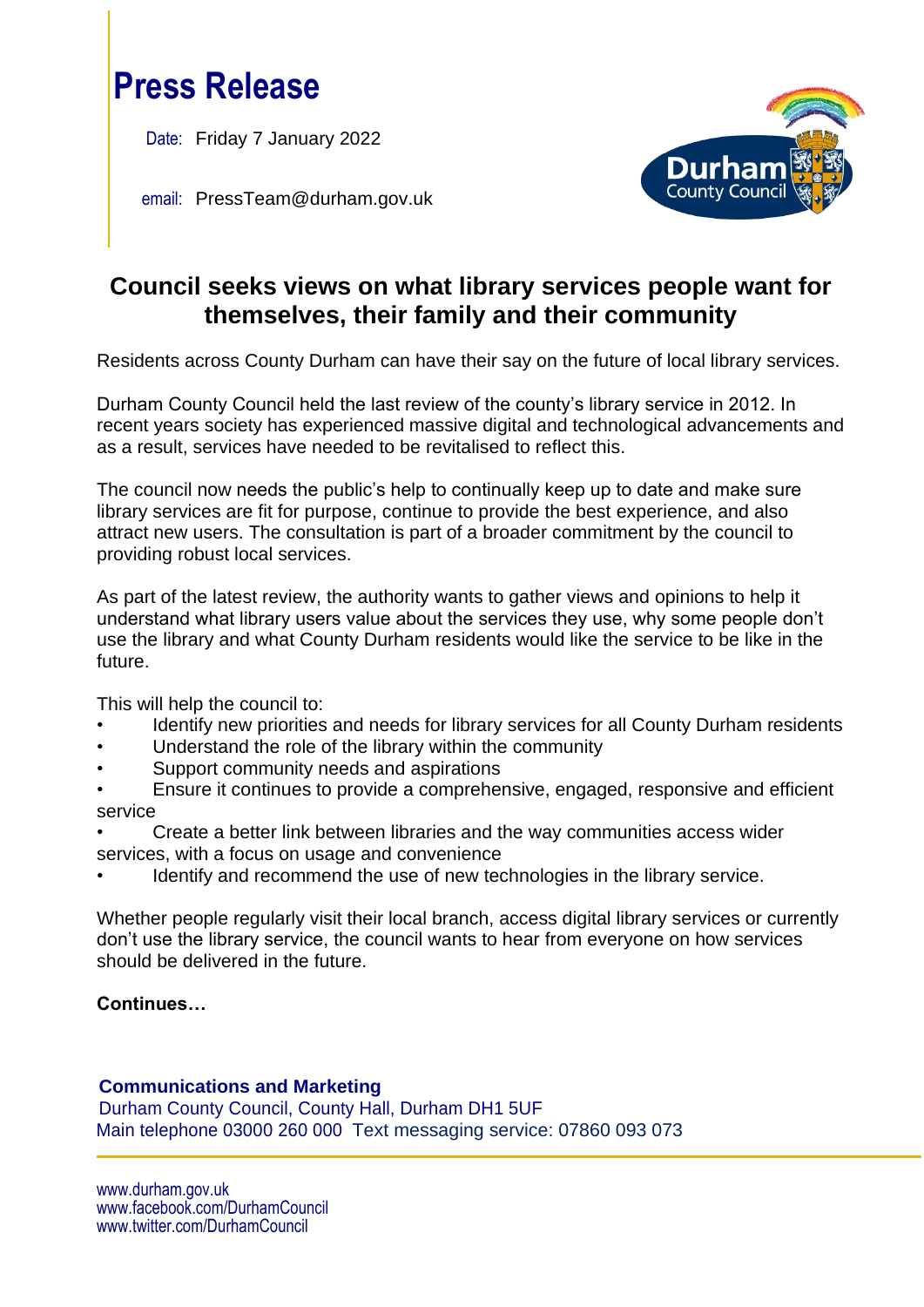

Date: Friday 7 January 2022

email: PressTeam@durham.gov.uk



# **Council seeks views on what library services people want for themselves, their family and their community**

Residents across County Durham can have their say on the future of local library services.

Durham County Council held the last review of the county's library service in 2012. In recent years society has experienced massive digital and technological advancements and as a result, services have needed to be revitalised to reflect this.

The council now needs the public's help to continually keep up to date and make sure library services are fit for purpose, continue to provide the best experience, and also attract new users. The consultation is part of a broader commitment by the council to providing robust local services.

As part of the latest review, the authority wants to gather views and opinions to help it understand what library users value about the services they use, why some people don't use the library and what County Durham residents would like the service to be like in the future.

This will help the council to:

- Identify new priorities and needs for library services for all County Durham residents
- Understand the role of the library within the community
- Support community needs and aspirations
- Ensure it continues to provide a comprehensive, engaged, responsive and efficient service
- Create a better link between libraries and the way communities access wider services, with a focus on usage and convenience
- Identify and recommend the use of new technologies in the library service.

Whether people regularly visit their local branch, access digital library services or currently don't use the library service, the council wants to hear from everyone on how services should be delivered in the future.

# **Continues…**

# **Communications and Marketing**

Durham County Council, County Hall, Durham DH1 5UF Main telephone 03000 260 000 Text messaging service: 07860 093 073

www.durham.gov.uk [www.facebook.com/DurhamCouncil](http://www.facebook.com/DurhamCouncil)  [www.twitter.com/DurhamCouncil](http://www.twitter.com/DurhamCouncil)